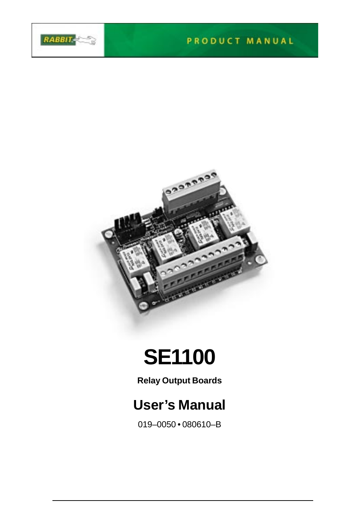

#### PRODUCT MANUAL



# **SE1100**

**Relay Output Boards**

# **User's Manual**

019–0050 • 080610–B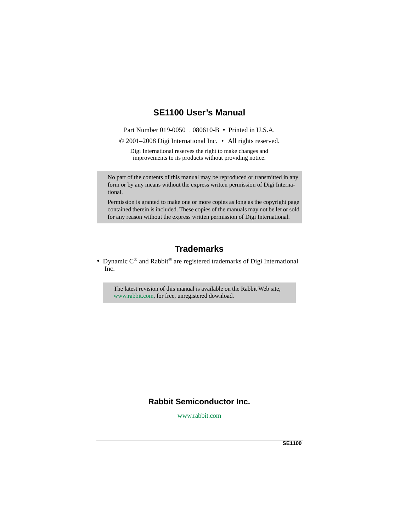### **SE1100 User's Manual**

Part Number 019-0050 , 080610-B • Printed in U.S.A.

© 2001–2008 Digi International Inc. • All rights reserved.

Digi International reserves the right to make changes and improvements to its products without providing notice.

No part of the contents of this manual may be reproduced or transmitted in any form or by any means without the express written permission of Digi International.

Permission is granted to make one or more copies as long as the copyright page contained therein is included. These copies of the manuals may not be let or sold for any reason without the express written permission of Digi International.

# **Trademarks**

• Dynamic  $C^{\circledast}$  and Rabbit $^{\circledast}$  are registered trademarks of Digi International Inc.

The latest revision of this manual is available on the Rabbit Web site, www.rabbit.com, for free, unregistered download.

# **Rabbit Semiconductor Inc.**

www.rabbit.com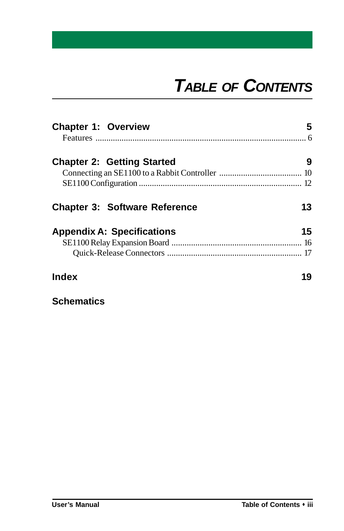# *TABLE OF CONTENTS*

| <b>Chapter 1: Overview</b>           | 5  |
|--------------------------------------|----|
| <b>Chapter 2: Getting Started</b>    | 9  |
|                                      |    |
|                                      |    |
| <b>Chapter 3: Software Reference</b> | 13 |
| <b>Appendix A: Specifications</b>    | 15 |
|                                      |    |
|                                      |    |
| Index                                | 19 |

**Schematics**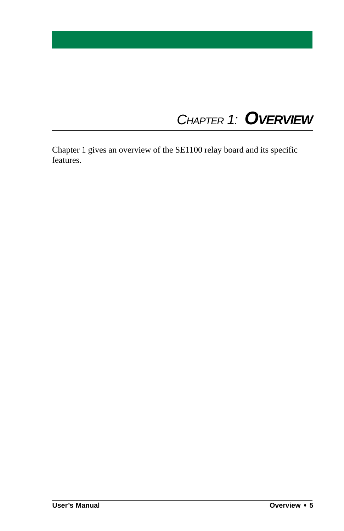# *CHAPTER 1: OVERVIEW*

Chapter 1 gives an overview of the SE1100 relay board and its specific features.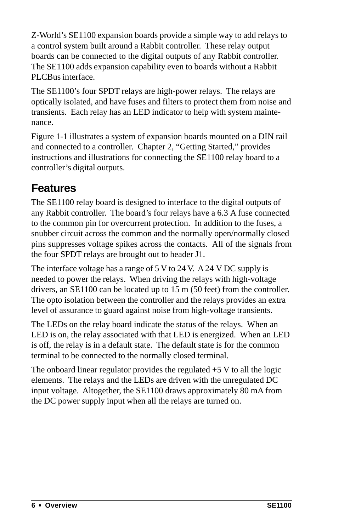Z-World's SE1100 expansion boards provide a simple way to add relays to a control system built around a Rabbit controller. These relay output boards can be connected to the digital outputs of any Rabbit controller. The SE1100 adds expansion capability even to boards without a Rabbit PLCBus interface.

The SE1100's four SPDT relays are high-power relays. The relays are optically isolated, and have fuses and filters to protect them from noise and transients. Each relay has an LED indicator to help with system maintenance.

Figure 1-1 illustrates a system of expansion boards mounted on a DIN rail and connected to a controller. Chapter 2, "Getting Started," provides instructions and illustrations for connecting the SE1100 relay board to a controller's digital outputs.

# **Features**

The SE1100 relay board is designed to interface to the digital outputs of any Rabbit controller. The board's four relays have a 6.3 A fuse connected to the common pin for overcurrent protection. In addition to the fuses, a snubber circuit across the common and the normally open/normally closed pins suppresses voltage spikes across the contacts. All of the signals from the four SPDT relays are brought out to header J1.

The interface voltage has a range of 5 V to 24 V. A 24 V DC supply is needed to power the relays. When driving the relays with high-voltage drivers, an SE1100 can be located up to 15 m (50 feet) from the controller. The opto isolation between the controller and the relays provides an extra level of assurance to guard against noise from high-voltage transients.

The LEDs on the relay board indicate the status of the relays. When an LED is on, the relay associated with that LED is energized. When an LED is off, the relay is in a default state. The default state is for the common terminal to be connected to the normally closed terminal.

The onboard linear regulator provides the regulated  $+5$  V to all the logic elements. The relays and the LEDs are driven with the unregulated DC input voltage. Altogether, the SE1100 draws approximately 80 mA from the DC power supply input when all the relays are turned on.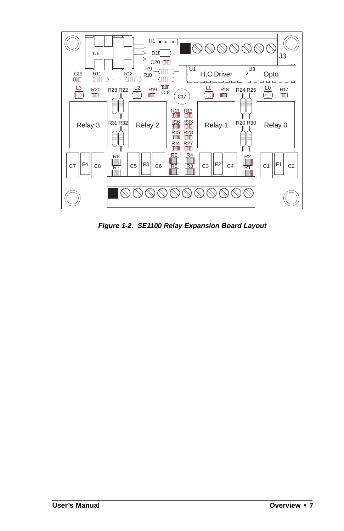

*Figure 1-2. SE1100 Relay Expansion Board Layout*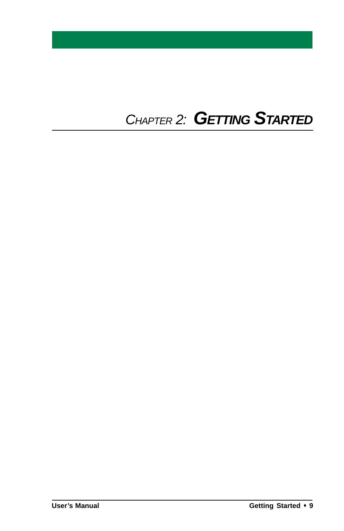# *CHAPTER 2: GETTING STARTED*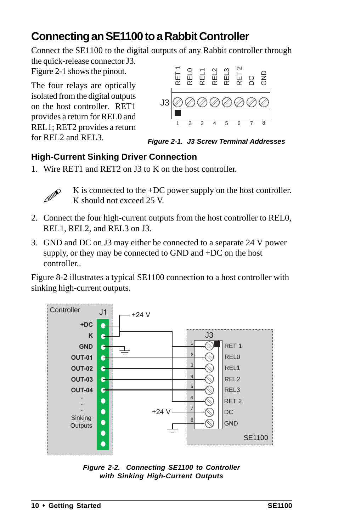# **Connecting an SE1100 to a Rabbit Controller**

Connect the SE1100 to the digital outputs of any Rabbit controller through the quick-release connector J3.

Figure 2-1 shows the pinout.

The four relays are optically isolated from the digital outputs on the host controller. RET1 provides a return for REL0 and REL1; RET2 provides a return for REL2 and REL3.



*Figure 2-1. J3 Screw Terminal Addresses*

#### **High-Current Sinking Driver Connection**

1. Wire RET1 and RET2 on J3 to K on the host controller.



K is connected to the +DC power supply on the host controller. K should not exceed 25 V.

- 2. Connect the four high-current outputs from the host controller to REL0, REL1, REL2, and REL3 on J3.
- 3. GND and DC on J3 may either be connected to a separate 24 V power supply, or they may be connected to GND and +DC on the host controller..

Figure 8-2 illustrates a typical SE1100 connection to a host controller with sinking high-current outputs.



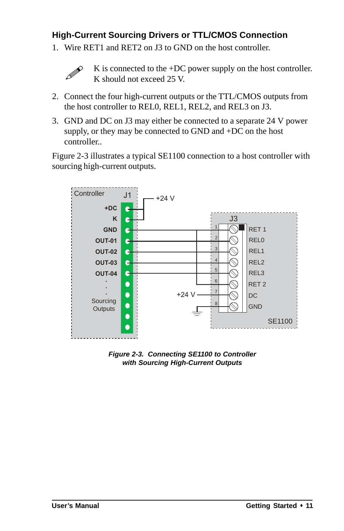#### **High-Current Sourcing Drivers or TTL/CMOS Connection**

1. Wire RET1 and RET2 on J3 to GND on the host controller.



K is connected to the +DC power supply on the host controller. K should not exceed 25 V.

- 2. Connect the four high-current outputs or the TTL/CMOS outputs from the host controller to REL0, REL1, REL2, and REL3 on J3.
- 3. GND and DC on J3 may either be connected to a separate 24 V power supply, or they may be connected to GND and +DC on the host controller..

Figure 2-3 illustrates a typical SE1100 connection to a host controller with sourcing high-current outputs.



*Figure 2-3. Connecting SE1100 to Controller with Sourcing High-Current Outputs*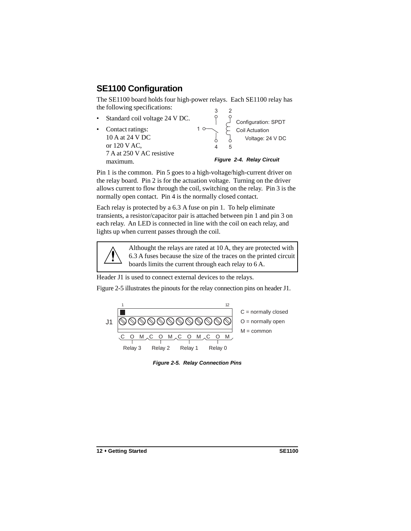# **SE1100 Configuration**

The SE1100 board holds four high-power relays. Each SE1100 relay has the following specifications:

Standard coil voltage 24 V DC. • Contact ratings: 10 A at 24 V DC or 120 V AC, 7 A at 250 V AC resistive maximum. 1 3  $\overline{c}$ 4 5 Configuration: SPDT Coil Actuation Voltage: 24 V DC *Figure 2-4. Relay Circuit*

Pin 1 is the common. Pin 5 goes to a high-voltage/high-current driver on the relay board. Pin 2 is for the actuation voltage. Turning on the driver allows current to flow through the coil, switching on the relay. Pin 3 is the normally open contact. Pin 4 is the normally closed contact.

Each relay is protected by a 6.3 A fuse on pin 1. To help eliminate transients, a resistor/capacitor pair is attached between pin 1 and pin 3 on each relay. An LED is connected in line with the coil on each relay, and lights up when current passes through the coil.



Althought the relays are rated at 10 A, they are protected with 6.3 A fuses because the size of the traces on the printed circuit boards limits the current through each relay to 6 A.

Header J1 is used to connect external devices to the relays.

Figure 2-5 illustrates the pinouts for the relay connection pins on header J1.



*Figure 2-5. Relay Connection Pins*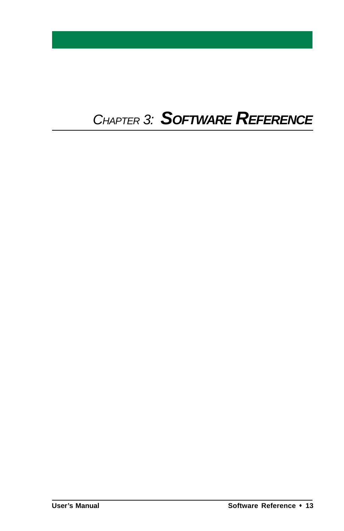# *CHAPTER 3: SOFTWARE REFERENCE*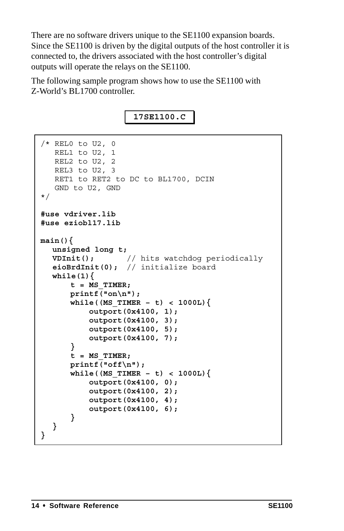There are no software drivers unique to the SE1100 expansion boards. Since the SE1100 is driven by the digital outputs of the host controller it is connected to, the drivers associated with the host controller's digital outputs will operate the relays on the SE1100.

The following sample program shows how to use the SE1100 with Z-World's BL1700 controller.

**17SE1100.C**

```
/* REL0 to U2, 0
    REL1 to U2, 1
    REL2 to U2, 2
    REL3 to U2, 3
    RET1 to RET2 to DC to BL1700, DCIN
    GND to U2, GND
*/
#use vdriver.lib
#use eziobl17.lib
main(){
  unsigned long t;
  VDInit(); // hits watchdog periodically
  eioBrdInit(0); // initialize board
  while(1){
      t = MS_TIMER;
      printf("on\n");
      while((MS_TIMER – t) < 1000L){
          outport(0x4100, 1);
          outport(0x4100, 3);
          outport(0x4100, 5);
          outport(0x4100, 7);
      }
      t = MS_TIMER;
      printf("off\n");
      while((MS_TIMER – t) < 1000L){
          outport(0x4100, 0);
          outport(0x4100, 2);
          outport(0x4100, 4);
          outport(0x4100, 6);
      }
  }
}
```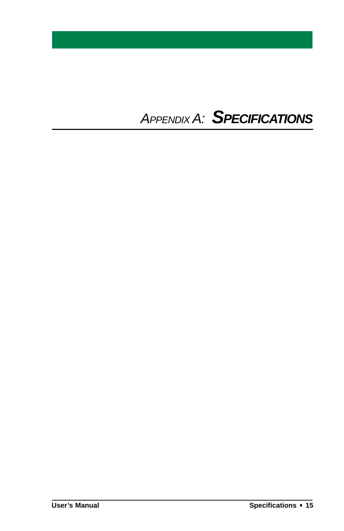# *APPENDIX A: SPECIFICATIONS*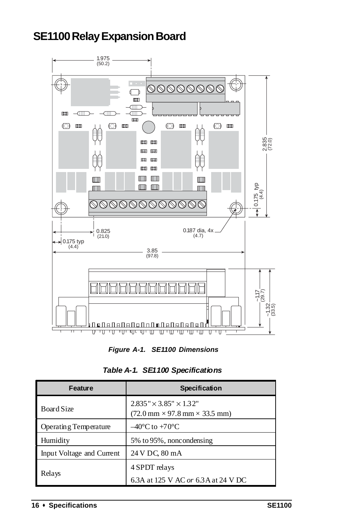# **SE1100 Relay Expansion Board**



*Figure A-1. SE1100 Dimensions*

| <b>Feature</b>            | Specification                                                                                              |
|---------------------------|------------------------------------------------------------------------------------------------------------|
| Board Size                | $2.835'' \times 3.85'' \times 1.32''$<br>$(72.0 \text{ mm} \times 97.8 \text{ mm} \times 33.5 \text{ mm})$ |
| Operating Temperature     | $-40^{\circ}$ C to +70 $^{\circ}$ C                                                                        |
| Humidity                  | 5% to 95%, noncondensing                                                                                   |
| Input Voltage and Current | 24 V DC, 80 mA                                                                                             |
|                           | 4 SPDT relays                                                                                              |
| Relays                    | 6.3A at 125 V AC or 6.3A at 24 V DC                                                                        |

*Table A-1. SE1100 Specifications*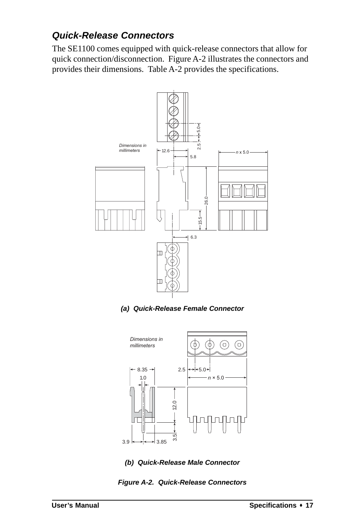#### *Quick-Release Connectors*

The SE1100 comes equipped with quick-release connectors that allow for quick connection/disconnection. Figure A-2 illustrates the connectors and provides their dimensions. Table A-2 provides the specifications.



*(a) Quick-Release Female Connector*





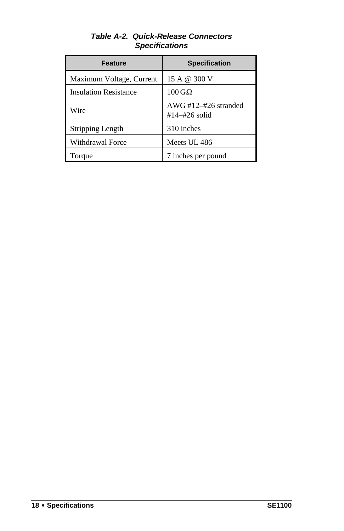| <b>Feature</b>               | <b>Specification</b>                            |  |
|------------------------------|-------------------------------------------------|--|
| Maximum Voltage, Current     | 15 A @ 300 V                                    |  |
| <b>Insulation Resistance</b> | $100\,\mathrm{G}\Omega$                         |  |
| Wire                         | AWG $\#12 - \#26$ stranded<br>$#14 - #26$ solid |  |
| Stripping Length             | 310 inches                                      |  |
| Withdrawal Force             | Meets UL 486                                    |  |
| Torque                       | 7 inches per pound                              |  |

#### *Table A-2. Quick-Release Connectors Specifications*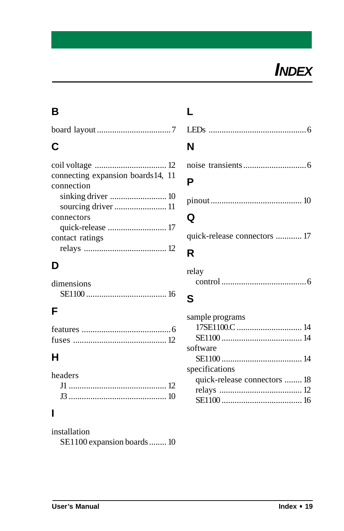

### **B**

|--|

# **C**

| connecting expansion boards 14, 11 |
|------------------------------------|
|                                    |
|                                    |
|                                    |
|                                    |
|                                    |
|                                    |
|                                    |
|                                    |

### **D**

| dimensions |  |
|------------|--|
|            |  |

# **F**

### **H**

| headers |  |
|---------|--|
|         |  |
|         |  |

### **I**

installation SE1100 expansion boards........ 10

**L**

| N |  |  |  |
|---|--|--|--|

#### **P**

|--|--|--|--|

# **Q**

quick-release connectors ............ 17

### **R**

| relay |  |
|-------|--|
|       |  |

#### **S**

| sample programs              |  |
|------------------------------|--|
|                              |  |
|                              |  |
| software                     |  |
|                              |  |
| specifications               |  |
| quick-release connectors  18 |  |
|                              |  |
|                              |  |
|                              |  |